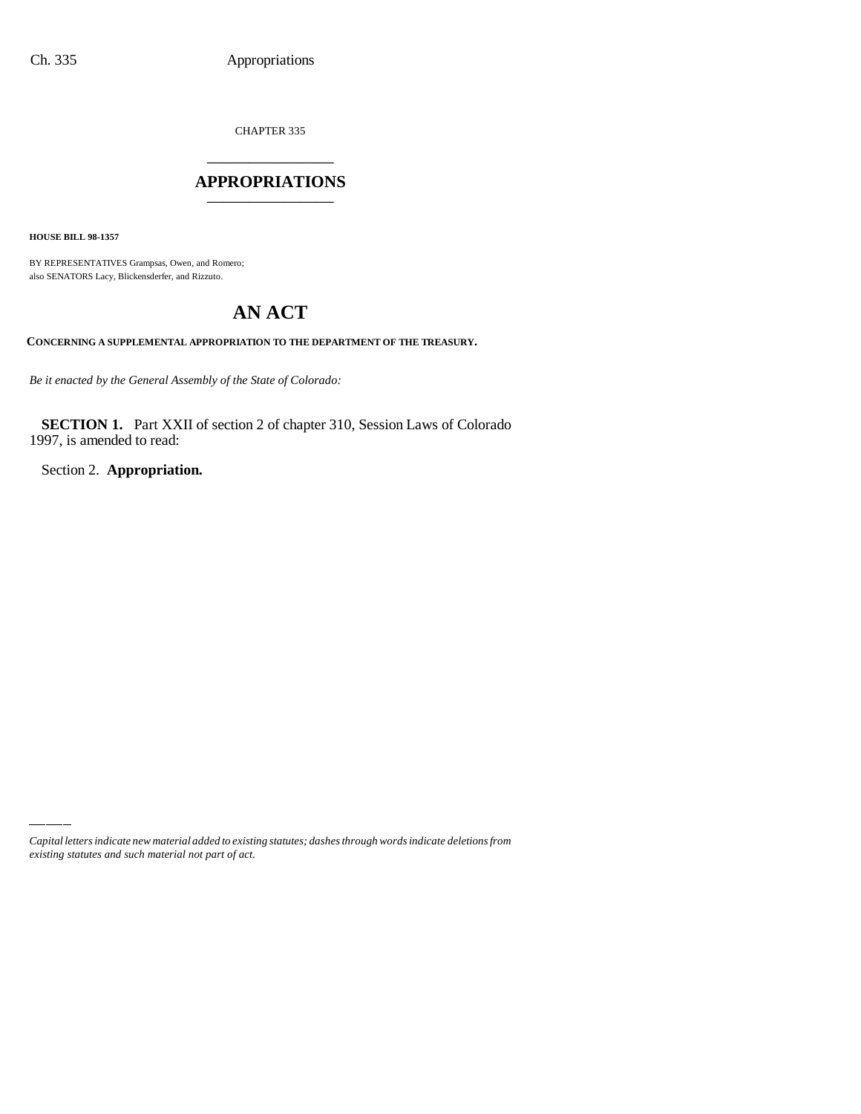CHAPTER 335

## \_\_\_\_\_\_\_\_\_\_\_\_\_\_\_ **APPROPRIATIONS** \_\_\_\_\_\_\_\_\_\_\_\_\_\_\_

**HOUSE BILL 98-1357**

BY REPRESENTATIVES Grampsas, Owen, and Romero; also SENATORS Lacy, Blickensderfer, and Rizzuto.

# **AN ACT**

**CONCERNING A SUPPLEMENTAL APPROPRIATION TO THE DEPARTMENT OF THE TREASURY.**

*Be it enacted by the General Assembly of the State of Colorado:*

**SECTION 1.** Part XXII of section 2 of chapter 310, Session Laws of Colorado 1997, is amended to read:

Section 2. **Appropriation.**

*Capital letters indicate new material added to existing statutes; dashes through words indicate deletions from existing statutes and such material not part of act.*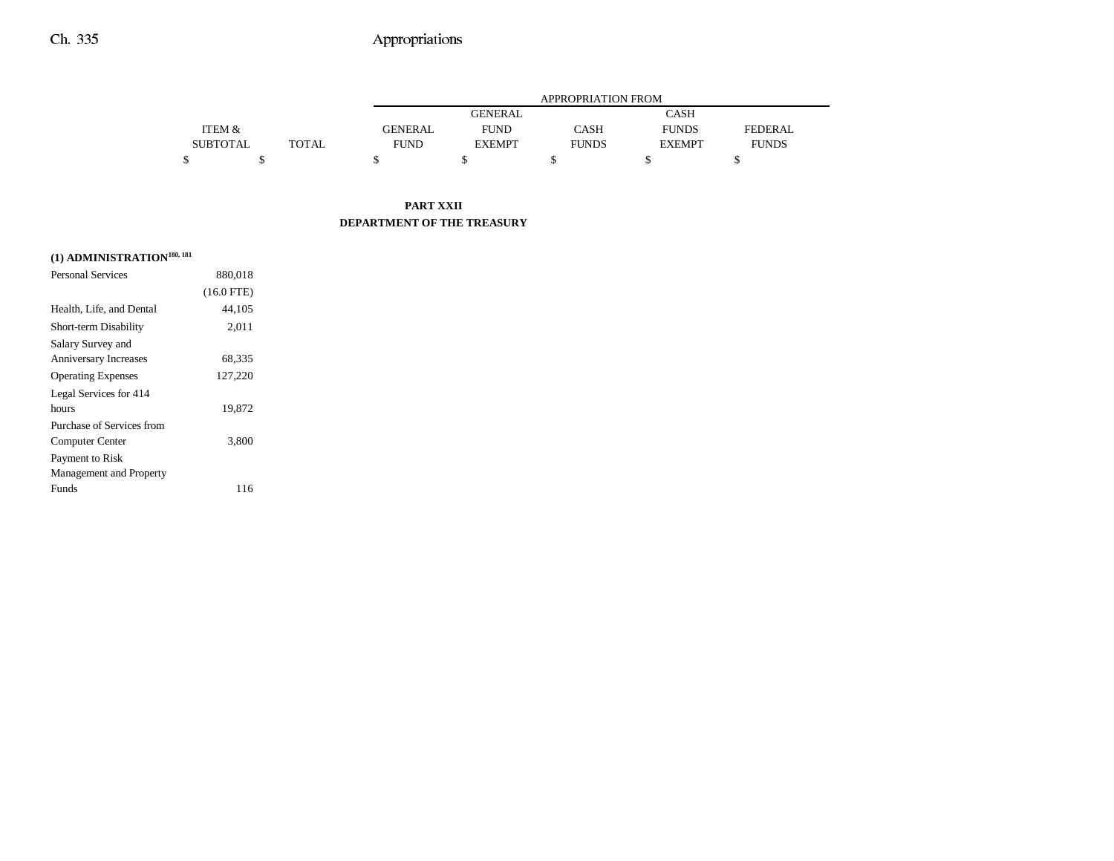### Ch. 335 Appropriations

|                 |       |                | APPROPRIATION FROM |              |               |              |  |
|-----------------|-------|----------------|--------------------|--------------|---------------|--------------|--|
|                 |       |                | <b>GENERAL</b>     |              | <b>CASH</b>   |              |  |
| ITEM &          |       | <b>GENERAL</b> | <b>FUND</b>        | <b>CASH</b>  | <b>FUNDS</b>  | FEDERAL.     |  |
| <b>SUBTOTAL</b> | TOTAL | <b>FUND</b>    | <b>EXEMPT</b>      | <b>FUNDS</b> | <b>EXEMPT</b> | <b>FUNDS</b> |  |
|                 |       |                |                    |              |               |              |  |

#### **PART XXII DEPARTMENT OF THE TREASURY**

# **(1) ADMINISTRATION180, 181**

| <b>Personal Services</b>     | 880,018      |
|------------------------------|--------------|
|                              | $(16.0$ FTE) |
| Health, Life, and Dental     | 44,105       |
| Short-term Disability        | 2,011        |
| Salary Survey and            |              |
| <b>Anniversary Increases</b> | 68,335       |
| <b>Operating Expenses</b>    | 127,220      |
| Legal Services for 414       |              |
| hours                        | 19,872       |
| Purchase of Services from    |              |
| Computer Center              | 3,800        |
| Payment to Risk              |              |
| Management and Property      |              |
| Funds                        | 116          |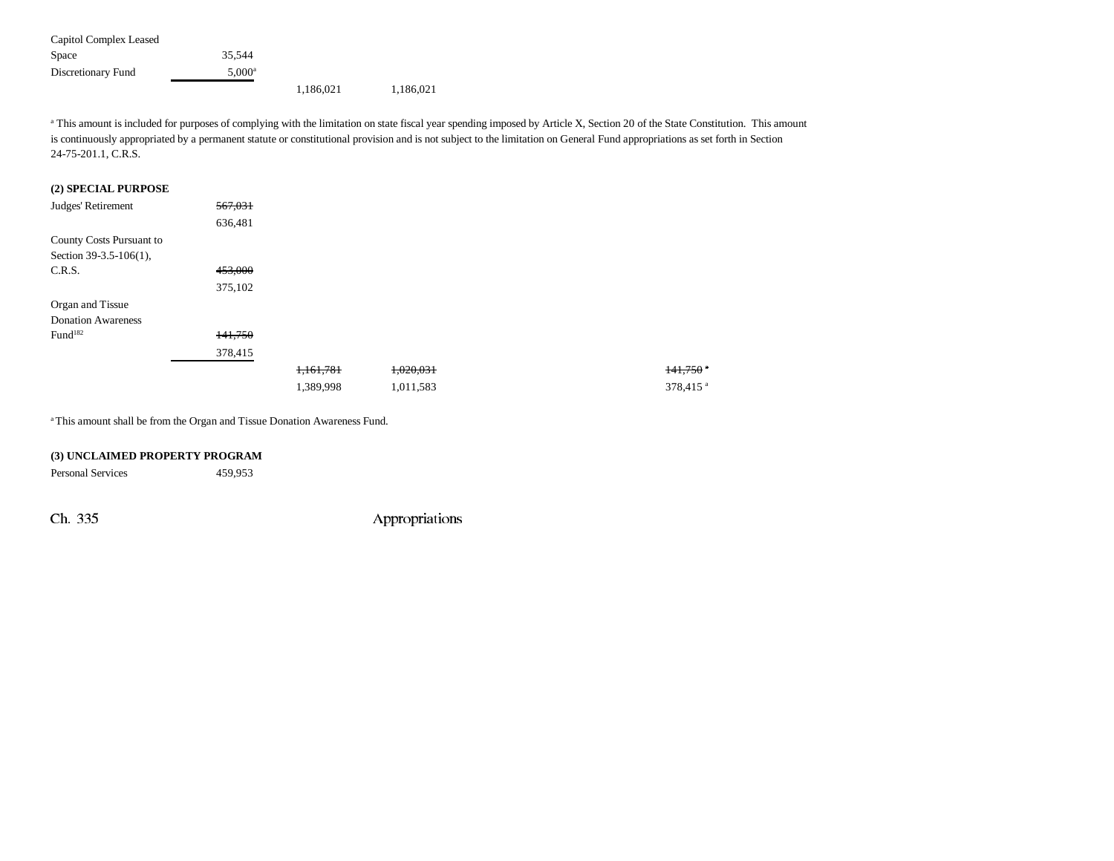Capitol Complex Leased Space 35,544 Discretionary Fund 5,000<sup>a</sup> 1,186,021 1,186,021

<sup>a</sup> This amount is included for purposes of complying with the limitation on state fiscal year spending imposed by Article X, Section 20 of the State Constitution. This amount is continuously appropriated by a permanent statute or constitutional provision and is not subject to the limitation on General Fund appropriations as set forth in Section 24-75-201.1, C.R.S.

#### **(2) SPECIAL PURPOSE**

| Judges' Retirement        | 567,031 |           |           |                      |
|---------------------------|---------|-----------|-----------|----------------------|
|                           | 636,481 |           |           |                      |
| County Costs Pursuant to  |         |           |           |                      |
| Section 39-3.5-106(1),    |         |           |           |                      |
| C.R.S.                    | 453,000 |           |           |                      |
|                           | 375,102 |           |           |                      |
| Organ and Tissue          |         |           |           |                      |
| <b>Donation Awareness</b> |         |           |           |                      |
| Fund <sup>182</sup>       | 141,750 |           |           |                      |
|                           | 378,415 |           |           |                      |
|                           |         | 1,161,781 | 1,020,031 | 141,750              |
|                           |         | 1,389,998 | 1,011,583 | 378,415 <sup>a</sup> |

<sup>a</sup> This amount shall be from the Organ and Tissue Donation Awareness Fund.

#### **(3) UNCLAIMED PROPERTY PROGRAM**

Personal Services 459,953

Ch. 335 Appropriations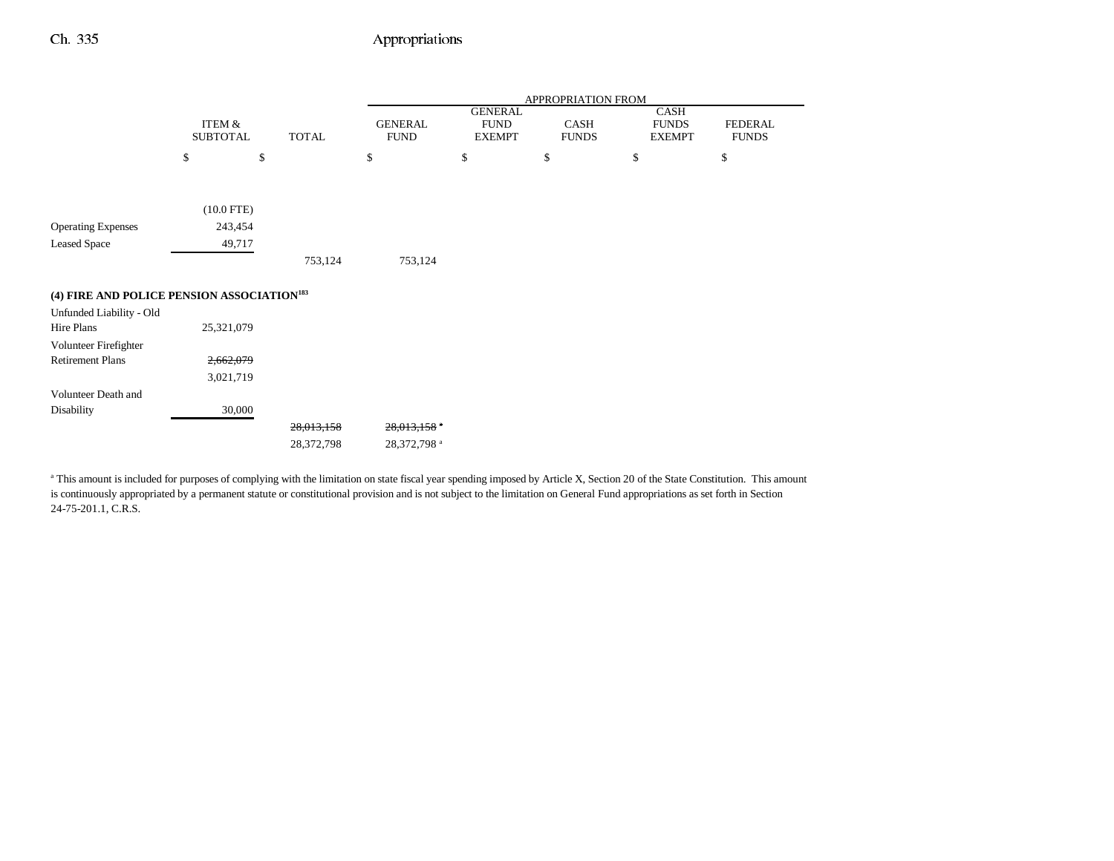### Ch. 335 Appropriations

|                                                        |                                      |              | APPROPRIATION FROM            |                              |                      |                               |                                |  |
|--------------------------------------------------------|--------------------------------------|--------------|-------------------------------|------------------------------|----------------------|-------------------------------|--------------------------------|--|
|                                                        |                                      |              |                               | <b>GENERAL</b>               |                      | CASH                          |                                |  |
|                                                        | <b>ITEM &amp;</b><br><b>SUBTOTAL</b> | <b>TOTAL</b> | <b>GENERAL</b><br><b>FUND</b> | <b>FUND</b><br><b>EXEMPT</b> | CASH<br><b>FUNDS</b> | <b>FUNDS</b><br><b>EXEMPT</b> | <b>FEDERAL</b><br><b>FUNDS</b> |  |
|                                                        |                                      |              |                               |                              |                      |                               |                                |  |
|                                                        | \$<br>\$                             |              | \$                            | \$                           | \$                   | \$                            | \$                             |  |
|                                                        |                                      |              |                               |                              |                      |                               |                                |  |
|                                                        |                                      |              |                               |                              |                      |                               |                                |  |
|                                                        | $(10.0$ FTE)                         |              |                               |                              |                      |                               |                                |  |
| <b>Operating Expenses</b>                              | 243,454                              |              |                               |                              |                      |                               |                                |  |
| <b>Leased Space</b>                                    | 49,717                               |              |                               |                              |                      |                               |                                |  |
|                                                        |                                      | 753,124      | 753,124                       |                              |                      |                               |                                |  |
| (4) FIRE AND POLICE PENSION ASSOCIATION <sup>183</sup> |                                      |              |                               |                              |                      |                               |                                |  |
| Unfunded Liability - Old                               |                                      |              |                               |                              |                      |                               |                                |  |
| Hire Plans                                             | 25,321,079                           |              |                               |                              |                      |                               |                                |  |
|                                                        |                                      |              |                               |                              |                      |                               |                                |  |
| Volunteer Firefighter                                  |                                      |              |                               |                              |                      |                               |                                |  |
| <b>Retirement Plans</b>                                | 2,662,079                            |              |                               |                              |                      |                               |                                |  |
|                                                        | 3,021,719                            |              |                               |                              |                      |                               |                                |  |
| Volunteer Death and                                    |                                      |              |                               |                              |                      |                               |                                |  |
| Disability                                             | 30,000                               |              |                               |                              |                      |                               |                                |  |
|                                                        |                                      | 28,013,158   | 28,013,158 *                  |                              |                      |                               |                                |  |
|                                                        |                                      | 28,372,798   | 28,372,798 <sup>a</sup>       |                              |                      |                               |                                |  |

<sup>a</sup> This amount is included for purposes of complying with the limitation on state fiscal year spending imposed by Article X, Section 20 of the State Constitution. This amount is continuously appropriated by a permanent statute or constitutional provision and is not subject to the limitation on General Fund appropriations as set forth in Section 24-75-201.1, C.R.S.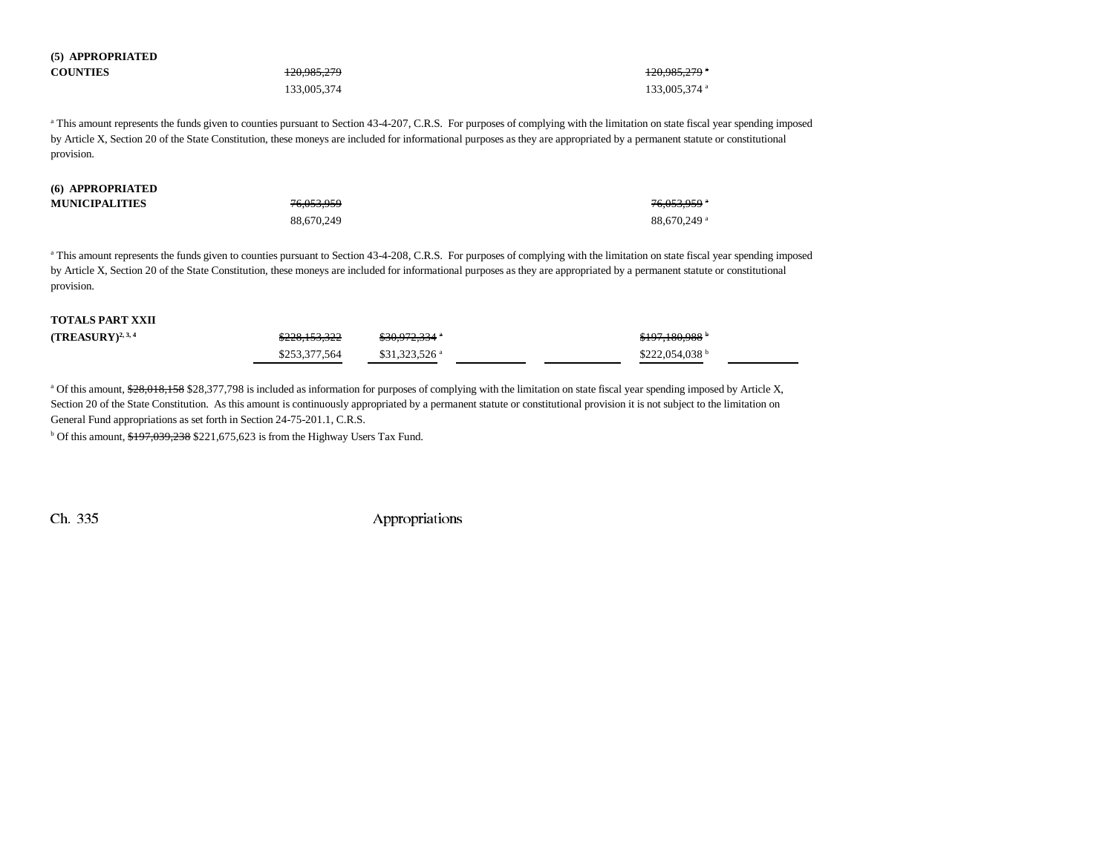| (5) APPROPRIATED |                        |                          |
|------------------|------------------------|--------------------------|
| <b>COUNTIES</b>  | <del>120,985,279</del> | <del>120,985,279</del> * |
|                  | 133,005,374            | 133,005,374 a            |

<sup>a</sup> This amount represents the funds given to counties pursuant to Section 43-4-207, C.R.S. For purposes of complying with the limitation on state fiscal year spending imposed by Article X, Section 20 of the State Constitution, these moneys are included for informational purposes as they are appropriated by a permanent statute or constitutional provision.

#### **(6) APPROPRIATED MU**

**(5) APPROPRIATED**

| <b>INICIPALITIES</b> | 76.053.959 | 76.053.959 <sup>a</sup> |
|----------------------|------------|-------------------------|
|                      | 88,670,249 | 88,670,249 a            |

<sup>a</sup> This amount represents the funds given to counties pursuant to Section 43-4-208, C.R.S. For purposes of complying with the limitation on state fiscal year spending imposed by Article X, Section 20 of the State Constitution, these moneys are included for informational purposes as they are appropriated by a permanent statute or constitutional provision.

#### **TOTALS PART XXII**

| (TREASURY) <sup>2,3,4</sup> | \$228,153,322 | <del>\$30,972,334</del> *  | \$197,180,988 <sup>b</sup>  |
|-----------------------------|---------------|----------------------------|-----------------------------|
|                             | \$253,377,564 | $$31.323.526$ <sup>a</sup> | $$222.054.038$ <sup>b</sup> |

<sup>a</sup> Of this amount, \$28,018,158 \$28,377,798 is included as information for purposes of complying with the limitation on state fiscal year spending imposed by Article X, Section 20 of the State Constitution. As this amount is continuously appropriated by a permanent statute or constitutional provision it is not subject to the limitation on General Fund appropriations as set forth in Section 24-75-201.1, C.R.S.

 $b$  Of this amount,  $$197,039,238$  \$221,675,623 is from the Highway Users Tax Fund.

Ch. 335 Appropriations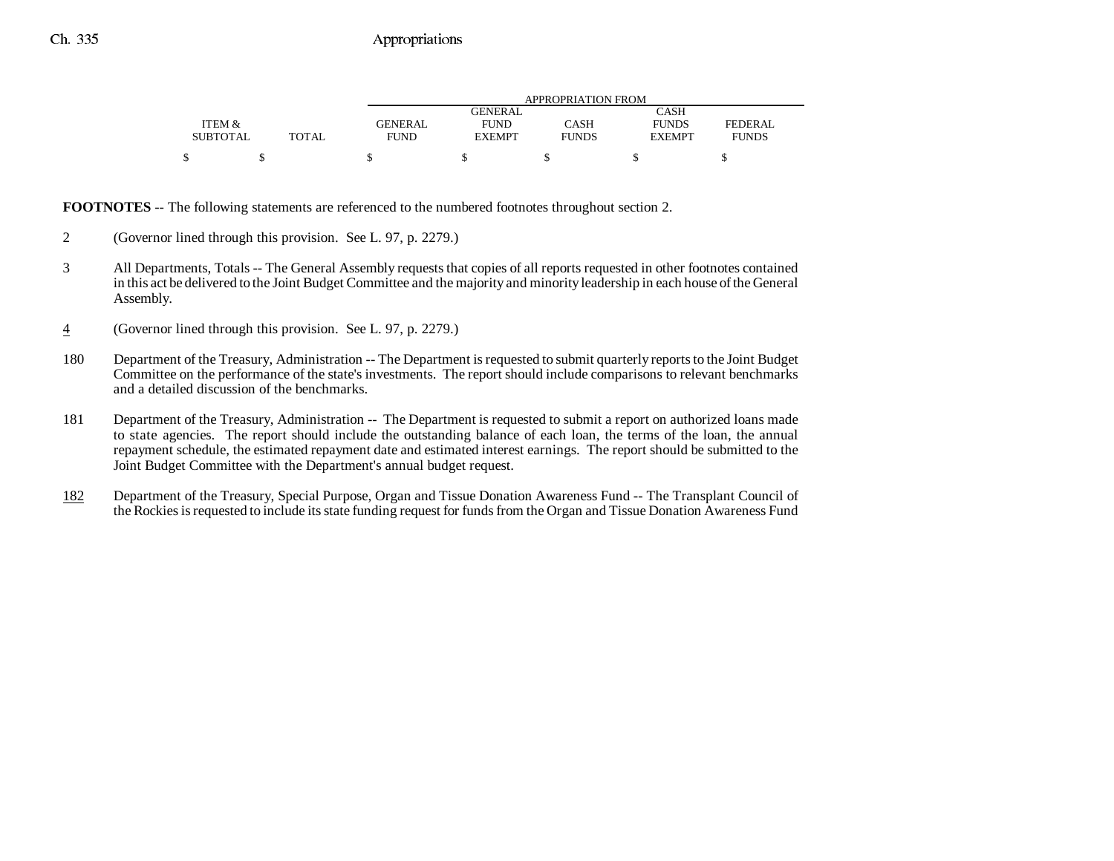|                 |       | APPROPRIATION FROM |               |              |               |                |
|-----------------|-------|--------------------|---------------|--------------|---------------|----------------|
|                 |       |                    | GENERAL.      |              | CASH          |                |
| ITEM &          |       | <b>GENERAL</b>     | <b>FUND</b>   | CASH         | <b>FUNDS</b>  | <b>FEDERAL</b> |
| <b>SUBTOTAL</b> | TOTAL | <b>FUND</b>        | <b>EXEMPT</b> | <b>FUNDS</b> | <b>EXEMPT</b> | <b>FUNDS</b>   |
|                 |       |                    |               |              |               |                |

**FOOTNOTES** -- The following statements are referenced to the numbered footnotes throughout section 2.

- 2 (Governor lined through this provision. See L. 97, p. 2279.)
- 3 All Departments, Totals -- The General Assembly requests that copies of all reports requested in other footnotes contained in this act be delivered to the Joint Budget Committee and the majority and minority leadership in each house of the General Assembly.
- 4(Governor lined through this provision. See L. 97, p. 2279.)
- 180 Department of the Treasury, Administration -- The Department is requested to submit quarterly reports to the Joint Budget Committee on the performance of the state's investments. The report should include comparisons to relevant benchmarks and a detailed discussion of the benchmarks.
- 181 Department of the Treasury, Administration -- The Department is requested to submit a report on authorized loans made to state agencies. The report should include the outstanding balance of each loan, the terms of the loan, the annual repayment schedule, the estimated repayment date and estimated interest earnings. The report should be submitted to the Joint Budget Committee with the Department's annual budget request.
- 182 Department of the Treasury, Special Purpose, Organ and Tissue Donation Awareness Fund -- The Transplant Council of the Rockies is requested to include its state funding request for funds from the Organ and Tissue Donation Awareness Fund